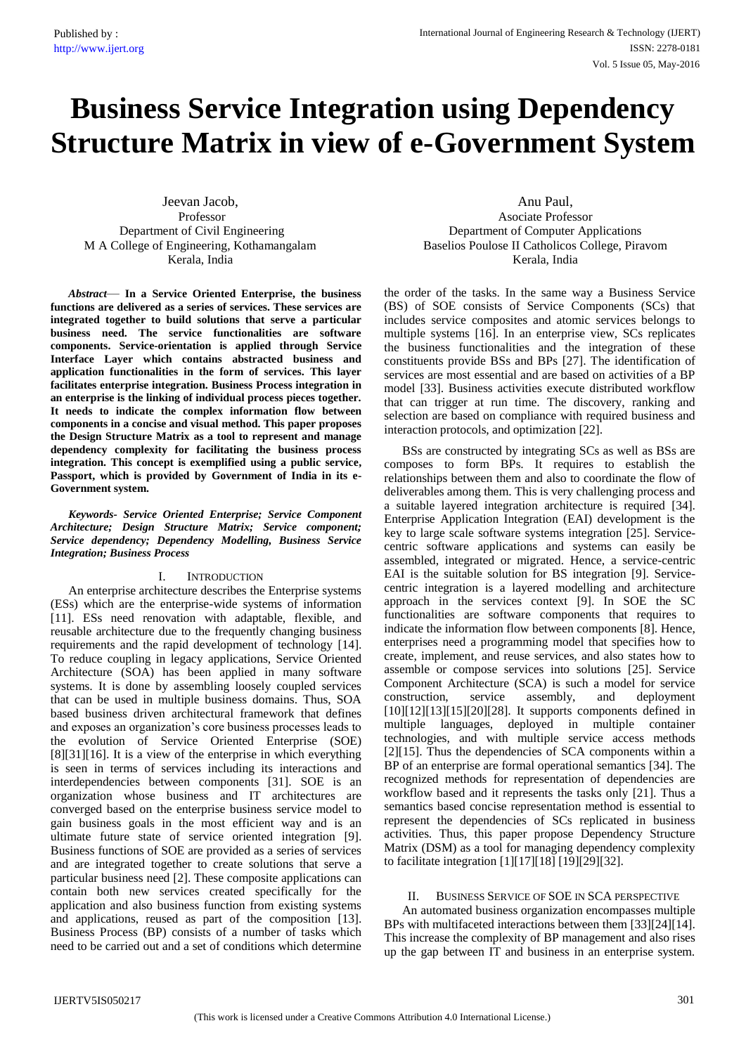# **Business Service Integration using Dependency Structure Matrix in view of e-Government System**

Jeevan Jacob, Professor Department of Civil Engineering M A College of Engineering, Kothamangalam Kerala, India

*Abstract*— **In a Service Oriented Enterprise, the business functions are delivered as a series of services. These services are integrated together to build solutions that serve a particular business need. The service functionalities are software components. Service-orientation is applied through Service Interface Layer which contains abstracted business and application functionalities in the form of services. This layer facilitates enterprise integration. Business Process integration in an enterprise is the linking of individual process pieces together. It needs to indicate the complex information flow between components in a concise and visual method. This paper proposes the Design Structure Matrix as a tool to represent and manage dependency complexity for facilitating the business process integration. This concept is exemplified using a public service, Passport, which is provided by Government of India in its e-Government system.**

*Keywords- Service Oriented Enterprise; Service Component Architecture; Design Structure Matrix; Service component; Service dependency; Dependency Modelling, Business Service Integration; Business Process*

## I. INTRODUCTION

An enterprise architecture describes the Enterprise systems (ESs) which are the enterprise-wide systems of information [11]. ESs need renovation with adaptable, flexible, and reusable architecture due to the frequently changing business requirements and the rapid development of technology [14]. To reduce coupling in legacy applications, Service Oriented Architecture (SOA) has been applied in many software systems. It is done by assembling loosely coupled services that can be used in multiple business domains. Thus, SOA based business driven architectural framework that defines and exposes an organization's core business processes leads to the evolution of Service Oriented Enterprise (SOE) [8][31][16]. It is a view of the enterprise in which everything is seen in terms of services including its interactions and interdependencies between components [31]. SOE is an organization whose business and IT architectures are converged based on the enterprise business service model to gain business goals in the most efficient way and is an ultimate future state of service oriented integration [9]. Business functions of SOE are provided as a series of services and are integrated together to create solutions that serve a particular business need [2]. These composite applications can contain both new services created specifically for the application and also business function from existing systems and applications, reused as part of the composition [13]. Business Process (BP) consists of a number of tasks which need to be carried out and a set of conditions which determine

Anu Paul, Asociate Professor Department of Computer Applications Baselios Poulose II Catholicos College, Piravom Kerala, India

the order of the tasks. In the same way a Business Service (BS) of SOE consists of Service Components (SCs) that includes service composites and atomic services belongs to multiple systems [16]. In an enterprise view, SCs replicates the business functionalities and the integration of these constituents provide BSs and BPs [27]. The identification of services are most essential and are based on activities of a BP model [33]. Business activities execute distributed workflow that can trigger at run time. The discovery, ranking and selection are based on compliance with required business and interaction protocols, and optimization [22].

BSs are constructed by integrating SCs as well as BSs are composes to form BPs. It requires to establish the relationships between them and also to coordinate the flow of deliverables among them. This is very challenging process and a suitable layered integration architecture is required [34]. Enterprise Application Integration (EAI) development is the key to large scale software systems integration [25]. Servicecentric software applications and systems can easily be assembled, integrated or migrated. Hence, a service-centric EAI is the suitable solution for BS integration [9]. Servicecentric integration is a layered modelling and architecture approach in the services context [9]. In SOE the SC functionalities are software components that requires to indicate the information flow between components [8]. Hence, enterprises need a programming model that specifies how to create, implement, and reuse services, and also states how to assemble or compose services into solutions [25]. Service Component Architecture (SCA) is such a model for service construction, service assembly, and deployment [10][12][13][15][20][28]. It supports components defined in multiple languages, deployed in multiple container technologies, and with multiple service access methods [2][15]. Thus the dependencies of SCA components within a BP of an enterprise are formal operational semantics [34]. The recognized methods for representation of dependencies are workflow based and it represents the tasks only [21]. Thus a semantics based concise representation method is essential to represent the dependencies of SCs replicated in business activities. Thus, this paper propose Dependency Structure Matrix (DSM) as a tool for managing dependency complexity to facilitate integration [1][17][18] [19][29][32].

## II. BUSINESS SERVICE OF SOE IN SCA PERSPECTIVE

An automated business organization encompasses multiple BPs with multifaceted interactions between them [33][24][14]. This increase the complexity of BP management and also rises up the gap between IT and business in an enterprise system.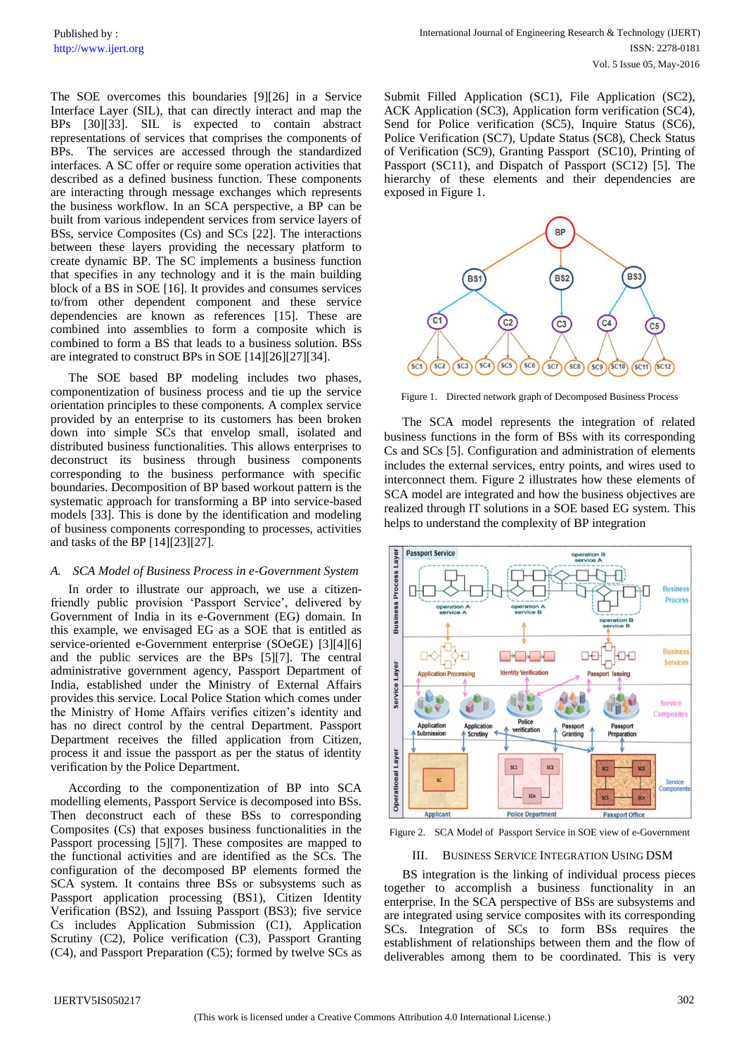The SOE overcomes this boundaries [9][26] in a Service Interface Layer (SIL), that can directly interact and map the BPs [30][33]. SIL is expected to contain abstract representations of services that comprises the components of BPs. The services are accessed through the standardized interfaces. A SC offer or require some operation activities that described as a defined business function. These components are interacting through message exchanges which represents the business workflow. In an SCA perspective, a BP can be built from various independent services from service layers of BSs, service Composites (Cs) and SCs [22]. The interactions between these layers providing the necessary platform to create dynamic BP. The SC implements a business function that specifies in any technology and it is the main building block of a BS in SOE [16]. It provides and consumes services to/from other dependent component and these service dependencies are known as references [15]. These are combined into assemblies to form a composite which is combined to form a BS that leads to a business solution. BSs are integrated to construct BPs in SOE [14][26][27][34].

The SOE based BP modeling includes two phases, componentization of business process and tie up the service orientation principles to these components. A complex service provided by an enterprise to its customers has been broken down into simple SCs that envelop small, isolated and distributed business functionalities. This allows enterprises to deconstruct its business through business components corresponding to the business performance with specific boundaries. Decomposition of BP based workout pattern is the systematic approach for transforming a BP into service-based models [33]. This is done by the identification and modeling of business components corresponding to processes, activities and tasks of the BP [14][23][27].

## *A. SCA Model of Business Process in e-Government System*

In order to illustrate our approach, we use a citizenfriendly public provision 'Passport Service', delivered by Government of India in its e-Government (EG) domain. In this example, we envisaged EG as a SOE that is entitled as service-oriented e-Government enterprise (SOeGE) [3][4][6] and the public services are the BPs [5][7]. The central administrative government agency, Passport Department of India, established under the Ministry of External Affairs provides this service. Local Police Station which comes under the Ministry of Home Affairs verifies citizen's identity and has no direct control by the central Department. Passport Department receives the filled application from Citizen, process it and issue the passport as per the status of identity verification by the Police Department.

According to the componentization of BP into SCA modelling elements, Passport Service is decomposed into BSs. Then deconstruct each of these BSs to corresponding Composites (Cs) that exposes business functionalities in the Passport processing [5][7]. These composites are mapped to the functional activities and are identified as the SCs. The configuration of the decomposed BP elements formed the SCA system. It contains three BSs or subsystems such as Passport application processing (BS1), Citizen Identity Verification (BS2), and Issuing Passport (BS3); five service Cs includes Application Submission (C1), Application Scrutiny (C2), Police verification (C3), Passport Granting (C4), and Passport Preparation (C5); formed by twelve SCs as Submit Filled Application (SC1), File Application (SC2), ACK Application (SC3), Application form verification (SC4), Send for Police verification (SC5), Inquire Status (SC6), Police Verification (SC7), Update Status (SC8), Check Status of Verification (SC9), Granting Passport (SC10), Printing of Passport (SC11), and Dispatch of Passport (SC12) [5]. The hierarchy of these elements and their dependencies are exposed in Figure 1.



Figure 1. Directed network graph of Decomposed Business Process

The SCA model represents the integration of related business functions in the form of BSs with its corresponding Cs and SCs [5]. Configuration and administration of elements includes the external services, entry points, and wires used to interconnect them. Figure 2 illustrates how these elements of SCA model are integrated and how the business objectives are realized through IT solutions in a SOE based EG system. This helps to understand the complexity of BP integration



Figure 2. SCA Model of Passport Service in SOE view of e-Government

## III. BUSINESS SERVICE INTEGRATION USING DSM

BS integration is the linking of individual process pieces together to accomplish a business functionality in an enterprise. In the SCA perspective of BSs are subsystems and are integrated using service composites with its corresponding SCs. Integration of SCs to form BSs requires the establishment of relationships between them and the flow of deliverables among them to be coordinated. This is very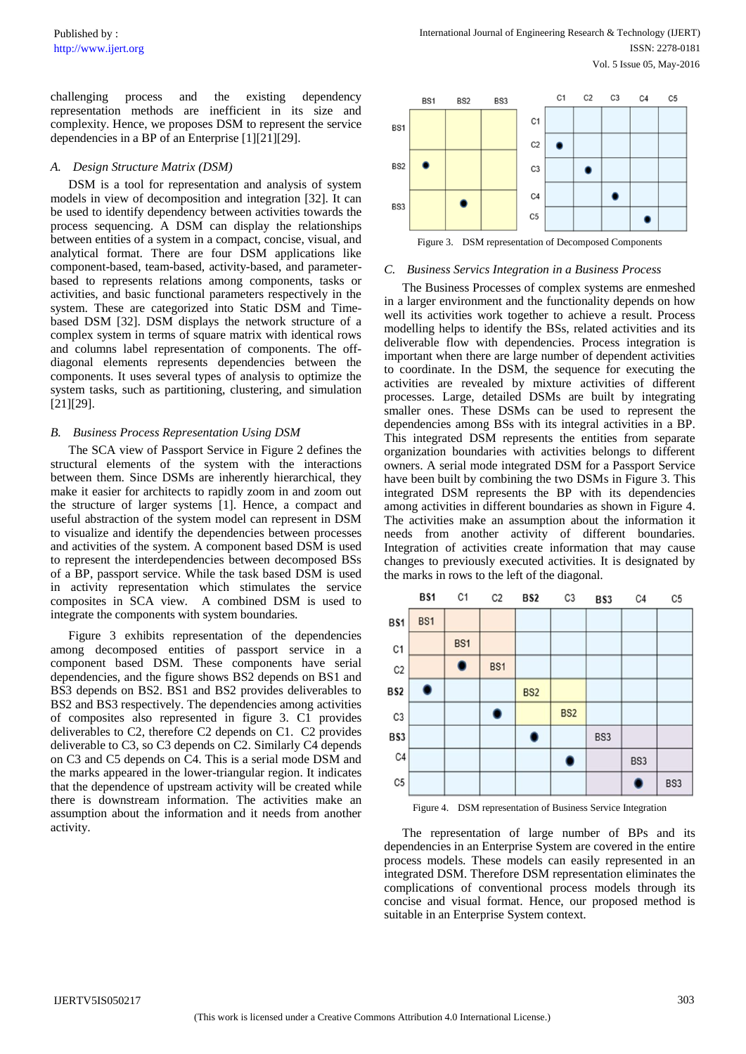challenging process and the existing dependency representation methods are inefficient in its size and complexity. Hence, we proposes DSM to represent the service dependencies in a BP of an Enterprise [1][21][29].

## *A. Design Structure Matrix (DSM)*

DSM is a tool for representation and analysis of system models in view of decomposition and integration [32]. It can be used to identify dependency between activities towards the process sequencing. A DSM can display the relationships between entities of a system in a compact, concise, visual, and analytical format. There are four DSM applications like component-based, team-based, activity-based, and parameterbased to represents relations among components, tasks or activities, and basic functional parameters respectively in the system. These are categorized into Static DSM and Timebased DSM [32]. DSM displays the network structure of a complex system in terms of square matrix with identical rows and columns label representation of components. The offdiagonal elements represents dependencies between the components. It uses several types of analysis to optimize the system tasks, such as partitioning, clustering, and simulation [21][29].

#### *B. Business Process Representation Using DSM*

The SCA view of Passport Service in Figure 2 defines the structural elements of the system with the interactions between them. Since DSMs are inherently hierarchical, they make it easier for architects to rapidly zoom in and zoom out the structure of larger systems [1]. Hence, a compact and useful abstraction of the system model can represent in DSM to visualize and identify the dependencies between processes and activities of the system. A component based DSM is used to represent the interdependencies between decomposed BSs of a BP, passport service. While the task based DSM is used in activity representation which stimulates the service composites in SCA view. A combined DSM is used to integrate the components with system boundaries.

Figure 3 exhibits representation of the dependencies among decomposed entities of passport service in a component based DSM. These components have serial dependencies, and the figure shows BS2 depends on BS1 and BS3 depends on BS2. BS1 and BS2 provides deliverables to BS2 and BS3 respectively. The dependencies among activities of composites also represented in figure 3. C1 provides deliverables to C2, therefore C2 depends on C1. C2 provides deliverable to C3, so C3 depends on C2. Similarly C4 depends on C3 and C5 depends on C4. This is a serial mode DSM and the marks appeared in the lower-triangular region. It indicates that the dependence of upstream activity will be created while there is downstream information. The activities make an assumption about the information and it needs from another activity.



Figure 3. DSM representation of Decomposed Components

#### *C. Business Servics Integration in a Business Process*

The Business Processes of complex systems are enmeshed in a larger environment and the functionality depends on how well its activities work together to achieve a result. Process modelling helps to identify the BSs, related activities and its deliverable flow with dependencies. Process integration is important when there are large number of dependent activities to coordinate. In the DSM, the sequence for executing the activities are revealed by mixture activities of different processes. Large, detailed DSMs are built by integrating smaller ones. These DSMs can be used to represent the dependencies among BSs with its integral activities in a BP. This integrated DSM represents the entities from separate organization boundaries with activities belongs to different owners. A serial mode integrated DSM for a Passport Service have been built by combining the two DSMs in Figure 3. This integrated DSM represents the BP with its dependencies among activities in different boundaries as shown in Figure 4. The activities make an assumption about the information it needs from another activity of different boundaries. Integration of activities create information that may cause changes to previously executed activities. It is designated by the marks in rows to the left of the diagonal.



Figure 4. DSM representation of Business Service Integration

The representation of large number of BPs and its dependencies in an Enterprise System are covered in the entire process models. These models can easily represented in an integrated DSM. Therefore DSM representation eliminates the complications of conventional process models through its concise and visual format. Hence, our proposed method is suitable in an Enterprise System context.